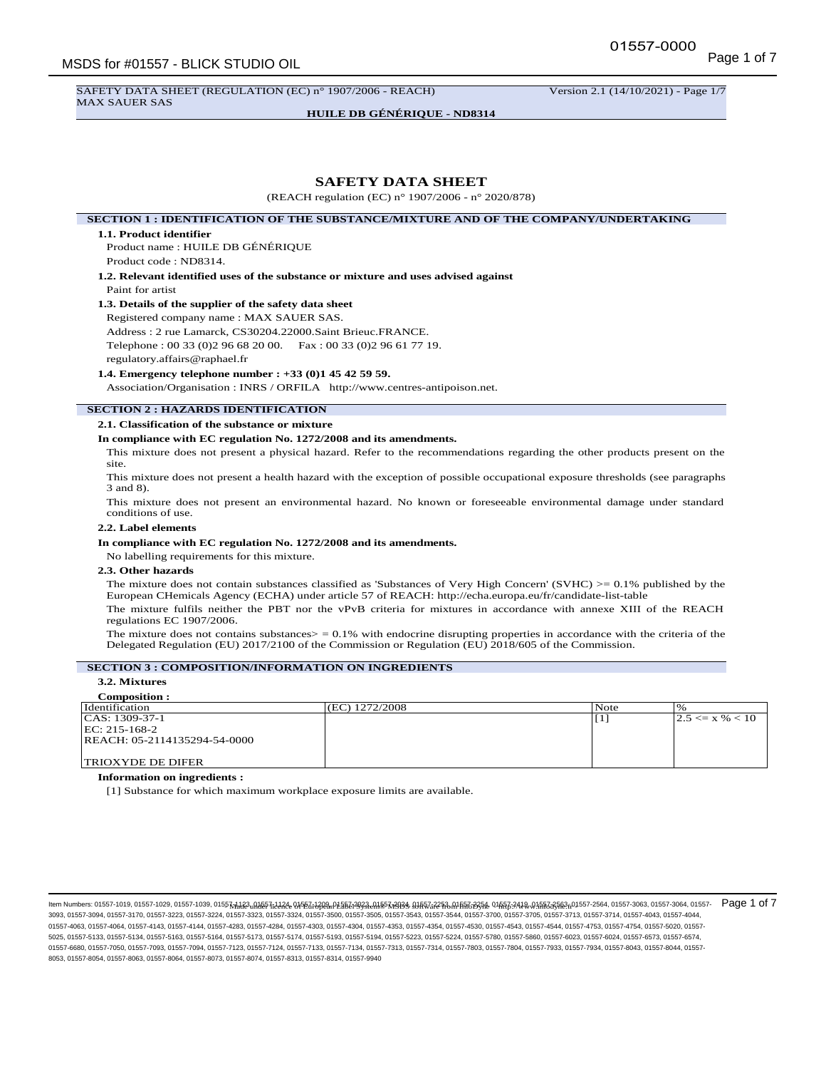SAFETY DATA SHEET (REGULATION (EC) n° 1907/2006 - REACH) Version 2.1 (14/10/2021) - Page 1/7 MAX SAUER SAS

**HUILE DB GÉNÉRIQUE - ND8314**

# **SAFETY DATA SHEET**

(REACH regulation (EC) n° 1907/2006 - n° 2020/878)

**SECTION 1 : IDENTIFICATION OF THE SUBSTANCE/MIXTURE AND OF THE COMPANY/UNDERTAKING**

#### **1.1. Product identifier**

Product name : HUILE DB GÉNÉRIQUE Product code : ND8314.

**1.2. Relevant identified uses of the substance or mixture and uses advised against** Paint for artist

#### **1.3. Details of the supplier of the safety data sheet**

Registered company name : MAX SAUER SAS.

Address : 2 rue Lamarck, CS30204.22000.Saint Brieuc.FRANCE. Telephone : 00 33 (0)2 96 68 20 00. Fax : 00 33 (0)2 96 61 77 19.

regulatory.affairs@raphael.fr

#### **1.4. Emergency telephone number : +33 (0)1 45 42 59 59.**

Association/Organisation : INRS / ORFILA http://www.centres-antipoison.net.

# **SECTION 2 : HAZARDS IDENTIFICATION**

**2.1. Classification of the substance or mixture**

# **In compliance with EC regulation No. 1272/2008 and its amendments.**

This mixture does not present a physical hazard. Refer to the recommendations regarding the other products present on the site.

This mixture does not present a health hazard with the exception of possible occupational exposure thresholds (see paragraphs 3 and 8).

This mixture does not present an environmental hazard. No known or foreseeable environmental damage under standard conditions of use.

### **2.2. Label elements**

#### **In compliance with EC regulation No. 1272/2008 and its amendments.**

No labelling requirements for this mixture.

#### **2.3. Other hazards**

The mixture does not contain substances classified as 'Substances of Very High Concern' (SVHC)  $> = 0.1\%$  published by the European CHemicals Agency (ECHA) under article 57 of REACH: http://echa.europa.eu/fr/candidate-list-table

The mixture fulfils neither the PBT nor the vPvB criteria for mixtures in accordance with annexe XIII of the REACH regulations EC 1907/2006.

The mixture does not contains substances $>$  = 0.1% with endocrine disrupting properties in accordance with the criteria of the Delegated Regulation (EU) 2017/2100 of the Commission or Regulation (EU) 2018/605 of the Commission.

# **SECTION 3 : COMPOSITION/INFORMATION ON INGREDIENTS**

# **3.2. Mixtures**

#### **Composition :**

| <i>dentification</i>         | (EC) 1272/2008 | Note |                      |
|------------------------------|----------------|------|----------------------|
| $ CAS: 1309-37-1$            |                |      | $ 2.5 \le x\%  < 10$ |
| $ EC: 215-168-2$             |                |      |                      |
| REACH: 05-2114135294-54-0000 |                |      |                      |
|                              |                |      |                      |
| <b>TRIOXYDE DE DIFER</b>     |                |      |                      |

**Information on ingredients :**

[1] Substance for which maximum workplace exposure limits are available.

llem Numbers: 01557-1019, 01557-1029, 01557-1039, 01557<u>HJR3<sub>u</sub>M&57jJJ284 03f52jJ28auM&5RJ3893aMB5Rj393</u>a.9JA57ai2\$A.MB5Rj3935& 01&6Fj39438.01&Rj395&2h01557-2564, 01557-3063, 01557-3064, 01557-3064, 01557-3064, 01557-3063 3093, 01557-3094, 01557-3170, 01557-3223, 01557-3224, 01557-3323, 01557-3324, 01557-3500, 01557-3505, 01557-3543, 01557-3544, 01557-3700, 01557-3705, 01557-3713, 01557-3714, 01557-4043, 01557-4044, 01557-4063, 01557-4064, 01557-4143, 01557-4144, 01557-4284, 01557-4303, 01557-4304, 01557-4353, 01557-4554, 01567-4543, 01557-4544, 01557-4753, 01557-4754, 01557-5020, 01557-4354, 01557-4753, 01557-4753, 01557-4754, 01557-5 5025, 01557-5133, 01557-5134, 01557-5163, 01557-5164, 01557-5173, 01557-5174, 01557-5193, 01557-5194, 01557-5223, 01557-5224, 01557-5780, 01557-5860, 01557-6023, 01557-6024, 01557-6573, 01557-6574, 01557-6680, 01557-7050, 01557-7093, 01557-7094, 01557-7123, 01557-7124, 01557-7133, 01557-7134, 01557-7313, 01557-7314, 01557-7803, 01557-7804, 01557-7933, 01557-7933, 01557-7933, 01557-7933, 01557-7933, 01557-7933, 01557-7 8053, 01557-8054, 01557-8063, 01557-8064, 01557-8073, 01557-8074, 01557-8313, 01557-8314, 01557-9940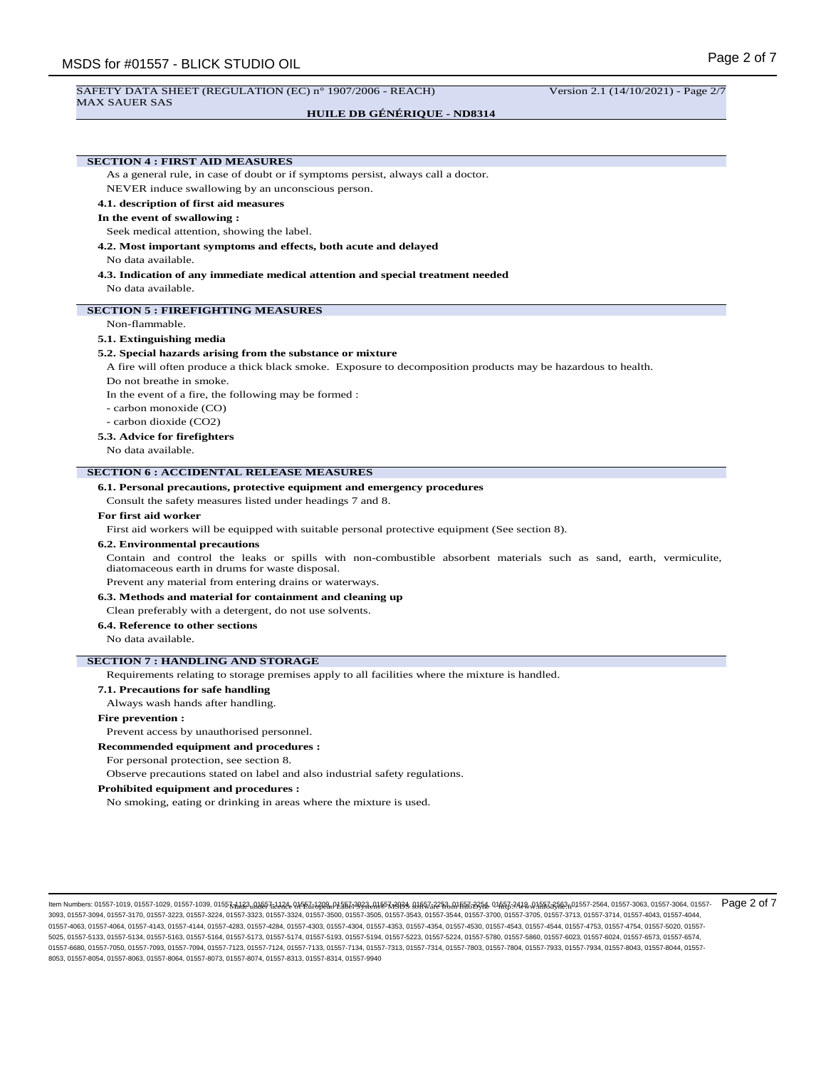#### SAFETY DATA SHEET (REGULATION (EC) n° 1907/2006 - REACH) Version 2.1 (14/10/2021) - Page 2/7 MAX SAUER SAS

# **HUILE DB GÉNÉRIQUE - ND8314**

**SECTION 4 : FIRST AID MEASURES**

As a general rule, in case of doubt or if symptoms persist, always call a doctor.

NEVER induce swallowing by an unconscious person.

# **4.1. description of first aid measures**

## **In the event of swallowing :**

Seek medical attention, showing the label.

**4.2. Most important symptoms and effects, both acute and delayed**

# No data available.

**4.3. Indication of any immediate medical attention and special treatment needed** No data available.

# **SECTION 5 : FIREFIGHTING MEASURES**

#### Non-flammable.

#### **5.1. Extinguishing media**

#### **5.2. Special hazards arising from the substance or mixture**

A fire will often produce a thick black smoke. Exposure to decomposition products may be hazardous to health.

Do not breathe in smoke.

In the event of a fire, the following may be formed :

- carbon monoxide (CO)
- carbon dioxide (CO2)

#### **5.3. Advice for firefighters**

No data available.

#### **SECTION 6 : ACCIDENTAL RELEASE MEASURES**

**6.1. Personal precautions, protective equipment and emergency procedures**

Consult the safety measures listed under headings 7 and 8.

#### **For first aid worker**

First aid workers will be equipped with suitable personal protective equipment (See section 8).

#### **6.2. Environmental precautions**

Contain and control the leaks or spills with non-combustible absorbent materials such as sand, earth, vermiculite, diatomaceous earth in drums for waste disposal.

Prevent any material from entering drains or waterways.

**6.3. Methods and material for containment and cleaning up**

Clean preferably with a detergent, do not use solvents.

**6.4. Reference to other sections**

No data available.

#### **SECTION 7 : HANDLING AND STORAGE**

Requirements relating to storage premises apply to all facilities where the mixture is handled.

### **7.1. Precautions for safe handling**

Always wash hands after handling.

#### **Fire prevention :**

Prevent access by unauthorised personnel.

#### **Recommended equipment and procedures :**

For personal protection, see section 8.

Observe precautions stated on label and also industrial safety regulations.

### **Prohibited equipment and procedures :**

No smoking, eating or drinking in areas where the mixture is used.

- Made under licence of European Label System® MSDS software from InfoDyne - http://www.infodyne.fr - Item Numbers: 01557-1019, 01557-1029, 01557-1039, 01557-1123, 01557-1124, 01557-1209, 01557-2023, 01557-2024, 01557-2253, 01557-2254, 01557-2419, 01557-2563, 01557-2564, 01557-3063, 01557-3064, 01557- Page 2 of 73093, 01557-3094, 01557-3170, 01557-3223, 01557-3224, 01557-3323, 01557-3324, 01557-3500, 01557-3505, 01557-3543, 01557-3544, 01557-3700, 01557-3705, 01557-3713, 01557-3714, 01557-4043, 01557-4044, 01557-4063, 01557-4064, 01557-4143, 01557-4144, 01557-4284, 01557-4303, 01557-4304, 01557-4353, 01557-4554, 01567-4543, 01557-4544, 01557-4753, 01557-4754, 01557-5020, 01557-4354, 01557-4753, 01557-4753, 01557-4754, 01557-5 5025, 01557-5133, 01557-5134, 01557-5163, 01557-5164, 01557-5173, 01557-5174, 01557-5193, 01557-5194, 01557-5223, 01557-5224, 01557-5780, 01557-5860, 01557-6023, 01557-6024, 01557-6573, 01557-6574, 01557-6680, 01557-7050, 01557-7093, 01557-7094, 01557-7123, 01557-7124, 01557-7133, 01557-7134, 01557-7313, 01557-7314, 01557-7803, 01557-7804, 01557-7933, 01557-7933, 01557-7933, 01557-7933, 01557-7933, 01557-7933, 01557-7 8053, 01557-8054, 01557-8063, 01557-8064, 01557-8073, 01557-8074, 01557-8313, 01557-8314, 01557-9940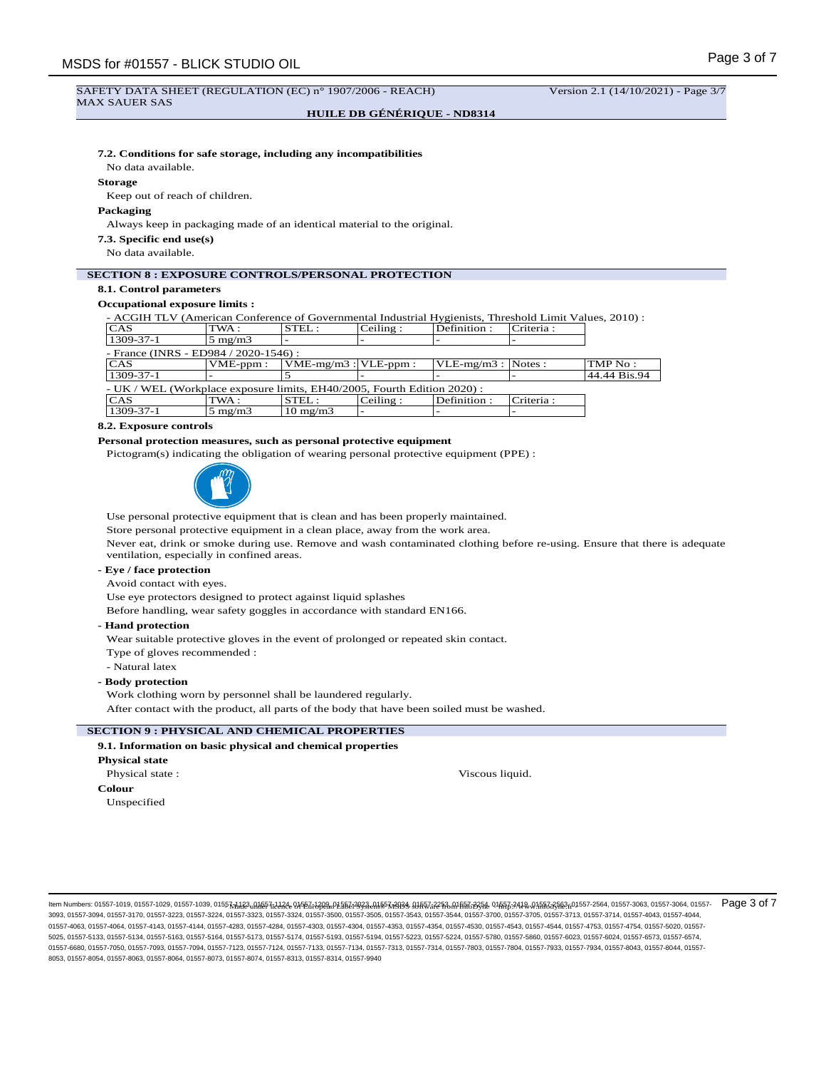#### SAFETY DATA SHEET (REGULATION (EC) n° 1907/2006 - REACH) Version 2.1 (14/10/2021) - Page 3/7 MAX SAUER SAS

**HUILE DB GÉNÉRIQUE - ND8314**

# **7.2. Conditions for safe storage, including any incompatibilities**

No data available.

#### **Storage**

Keep out of reach of children.

#### **Packaging**

Always keep in packaging made of an identical material to the original.

**7.3. Specific end use(s)**

No data available.

# **SECTION 8 : EXPOSURE CONTROLS/PERSONAL PROTECTION**

# **8.1. Control parameters**

# **Occupational exposure limits :**

- ACGIH TLV (American Conference of Governmental Industrial Hygienists, Threshold Limit Values, 2010) :

| CAS                                                                      | TWA :            | STEL:                         | Ceiling: | Definition:              | Criteria : |                  |
|--------------------------------------------------------------------------|------------------|-------------------------------|----------|--------------------------|------------|------------------|
| $1309 - 37 - 1$                                                          | $5 \text{ mg/m}$ |                               |          | $\overline{\phantom{0}}$ |            |                  |
| - France (INRS - ED984 / 2020-1546) :                                    |                  |                               |          |                          |            |                  |
| <b>CAS</b>                                                               | $VME-ppm$ :      | $ VME-mg/m3 $ : $ VLE-ppm $ : |          | $ VLE-mg/m3 $ : Notes :  |            | $\text{TMP No}:$ |
| $1309 - 37 - 1$                                                          |                  |                               |          |                          |            | 44.44 Bis.94     |
| - UK / WEL (Workplace exposure limits, EH40/2005, Fourth Edition 2020) : |                  |                               |          |                          |            |                  |
| <b>CAS</b>                                                               | TWA :            | STEL:                         | Ceiling: | Definition:              | Criteria : |                  |
| $1309 - 37 - 1$                                                          | $5 \text{ mg/m}$ | $10 \text{ mg/m}$             |          |                          |            |                  |

### **8.2. Exposure controls**

# **Personal protection measures, such as personal protective equipment**

Pictogram(s) indicating the obligation of wearing personal protective equipment (PPE) :



Use personal protective equipment that is clean and has been properly maintained.

Store personal protective equipment in a clean place, away from the work area.

Never eat, drink or smoke during use. Remove and wash contaminated clothing before re-using. Ensure that there is adequate ventilation, especially in confined areas.

# **- Eye / face protection**

Avoid contact with eyes.

Use eye protectors designed to protect against liquid splashes

Before handling, wear safety goggles in accordance with standard EN166.

**- Hand protection**

Wear suitable protective gloves in the event of prolonged or repeated skin contact. Type of gloves recommended :

- Natural latex

# **- Body protection**

Work clothing worn by personnel shall be laundered regularly.

After contact with the product, all parts of the body that have been soiled must be washed.

# **SECTION 9 : PHYSICAL AND CHEMICAL PROPERTIES**

**9.1. Information on basic physical and chemical properties Physical state** Physical state : **Viscous liquid.** Viscous liquid. **Colour** Unspecified

llem Numbers: 01557-1019, 01557-1029, 01557-1039, 01557<u>HJR3<sub>u</sub>MA557id3A& 0Jf5Zi7A0an/L5BCi7A93a-MB57a3D36. MA57a225A,MIf5RoB35A 01fGRc240a,M5523A8en/15572564, 01557-3063, 01557-3063, 01557-3064, 01557-0264, 01557-3063, 0</u> 3093, 01557-3094, 01557-3170, 01557-3223, 01557-3224, 01557-3323, 01557-3324, 01557-3500, 01557-3505, 01557-3543, 01557-3544, 01557-3700, 01557-3705, 01557-3713, 01557-3714, 01557-4043, 01557-4044, 01557-4063, 01557-4064, 01557-4143, 01557-4144, 01557-4284, 01557-4303, 01557-4304, 01557-4353, 01557-4554, 01567-4543, 01557-4544, 01557-4753, 01557-4754, 01557-5020, 01557-4354, 01557-4753, 01557-4753, 01557-4754, 01557-5 5025, 01557-5133, 01557-5134, 01557-5163, 01557-5164, 01557-5173, 01557-5174, 01557-5193, 01557-5194, 01557-5223, 01557-5224, 01557-5780, 01557-5860, 01557-6023, 01557-6024, 01557-6573, 01557-6574, 01557-6680, 01557-7050, 01557-7093, 01557-7094, 01557-7123, 01557-7124, 01557-7133, 01557-7313, 01557-7313, 01557-7314, 01557-7803, 01557-7804, 01557-7933, 01557-7934, 01557-8043, 01557-7804, 01557-7833, 01557-8043, 01557-8 8053, 01557-8054, 01557-8063, 01557-8064, 01557-8073, 01557-8074, 01557-8313, 01557-8314, 01557-9940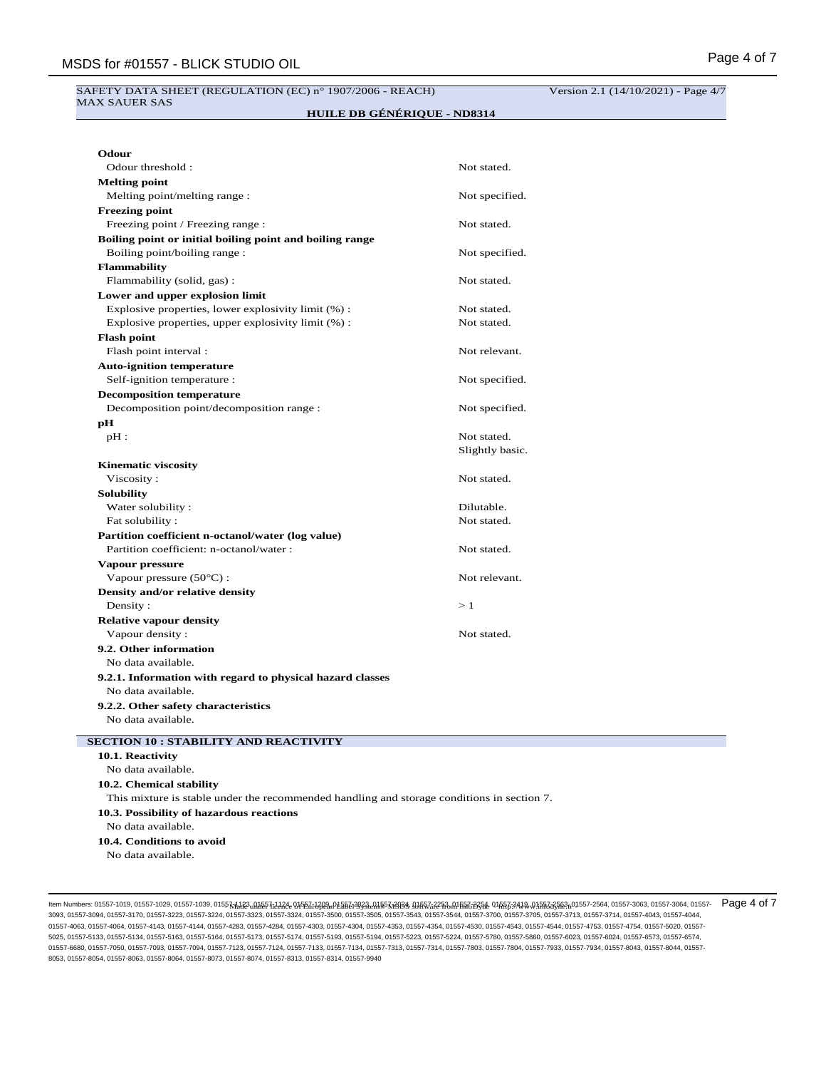#### SAFETY DATA SHEET (REGULATION (EC) n° 1907/2006 - REACH) Version 2.1 (14/10/2021) - Page 4/7 MAX SAUER SAS

**HUILE DB GÉNÉRIQUE - ND8314**

| Odour                                                                                      |                 |
|--------------------------------------------------------------------------------------------|-----------------|
| Odour threshold:                                                                           | Not stated.     |
| <b>Melting point</b>                                                                       |                 |
| Melting point/melting range :                                                              | Not specified.  |
| <b>Freezing point</b>                                                                      |                 |
| Freezing point / Freezing range :                                                          | Not stated.     |
| Boiling point or initial boiling point and boiling range                                   |                 |
| Boiling point/boiling range:                                                               | Not specified.  |
| <b>Flammability</b>                                                                        |                 |
| Flammability (solid, gas):                                                                 | Not stated.     |
| Lower and upper explosion limit                                                            |                 |
| Explosive properties, lower explosivity limit (%):                                         | Not stated.     |
| Explosive properties, upper explosivity limit (%) :                                        | Not stated.     |
| <b>Flash point</b>                                                                         |                 |
| Flash point interval :                                                                     | Not relevant.   |
| <b>Auto-ignition temperature</b>                                                           |                 |
| Self-ignition temperature :                                                                | Not specified.  |
| <b>Decomposition temperature</b>                                                           |                 |
| Decomposition point/decomposition range :                                                  | Not specified.  |
| pН                                                                                         |                 |
| $pH$ :                                                                                     | Not stated.     |
|                                                                                            | Slightly basic. |
| <b>Kinematic viscosity</b>                                                                 |                 |
| Viscosity:                                                                                 | Not stated.     |
| <b>Solubility</b>                                                                          |                 |
| Water solubility:                                                                          | Dilutable.      |
| Fat solubility:                                                                            | Not stated.     |
| Partition coefficient n-octanol/water (log value)                                          |                 |
| Partition coefficient: n-octanol/water :                                                   | Not stated.     |
| Vapour pressure                                                                            |                 |
| Vapour pressure $(50^{\circ}C)$ :                                                          | Not relevant.   |
| Density and/or relative density                                                            |                 |
| Density:                                                                                   | >1              |
| <b>Relative vapour density</b>                                                             |                 |
| Vapour density:                                                                            | Not stated.     |
| 9.2. Other information                                                                     |                 |
| No data available.                                                                         |                 |
| 9.2.1. Information with regard to physical hazard classes                                  |                 |
| No data available.                                                                         |                 |
| 9.2.2. Other safety characteristics                                                        |                 |
| No data available.                                                                         |                 |
|                                                                                            |                 |
| <b>SECTION 10 : STABILITY AND REACTIVITY</b>                                               |                 |
| 10.1. Reactivity                                                                           |                 |
| No data available.                                                                         |                 |
| 10.2. Chemical stability                                                                   |                 |
| This mixture is stable under the recommended handling and storage conditions in section 7. |                 |
| 10.3. Possibility of hazardous reactions                                                   |                 |
| No data available.                                                                         |                 |
| 10.4. Conditions to avoid                                                                  |                 |
| No data available.                                                                         |                 |

llem Numbers: 01557-1019, 01557-1029, 01557-1039, 01557<u>HJR3<sub>u</sub>MA557id3A& 0Jf5Zi7A0aaD1A5bZi3A3eAJA557a93a& MASZi225A.MIfaRi3B3A& 0JfaRi3A48.0JaFaZ3A8eA01557-2564, 01557-3063, 01557-3064, 01557-3064, 01557-3064, 01557-306</u> 3093, 01557-3094, 01557-3170, 01557-3223, 01557-3224, 01557-3323, 01557-3324, 01557-3500, 01557-3505, 01557-3543, 01557-3544, 01557-3700, 01557-3705, 01557-3713, 01557-3714, 01557-4043, 01557-4044, 01557-4063, 01557-4064, 01557-4143, 01557-4144, 01557-4283, 01557-4284, 01557-4303, 01557-4304, 01557-4353, 01557-4354, 01557-4530, 01557-4543, 01557-4544, 01557-4753, 01557-4754, 01557-5020, 01557- 5025, 01557-5133, 01557-5134, 01557-5163, 01557-5164, 01557-5173, 01557-5174, 01557-5193, 01557-5194, 01557-5223, 01557-5224, 01557-5780, 01557-5860, 01557-6023, 01557-6024, 01557-6573, 01557-6574, 01557-6680, 01557-7050, 01557-7093, 01557-7094, 01557-7123, 01557-7124, 01557-7133, 01557-7134, 01557-7313, 01557-7314, 01557-7803, 01557-7804, 01557-7933, 01557-7934, 01557-8043, 01557-8044, 01557- 8053, 01557-8054, 01557-8063, 01557-8064, 01557-8073, 01557-8074, 01557-8313, 01557-8314, 01557-9940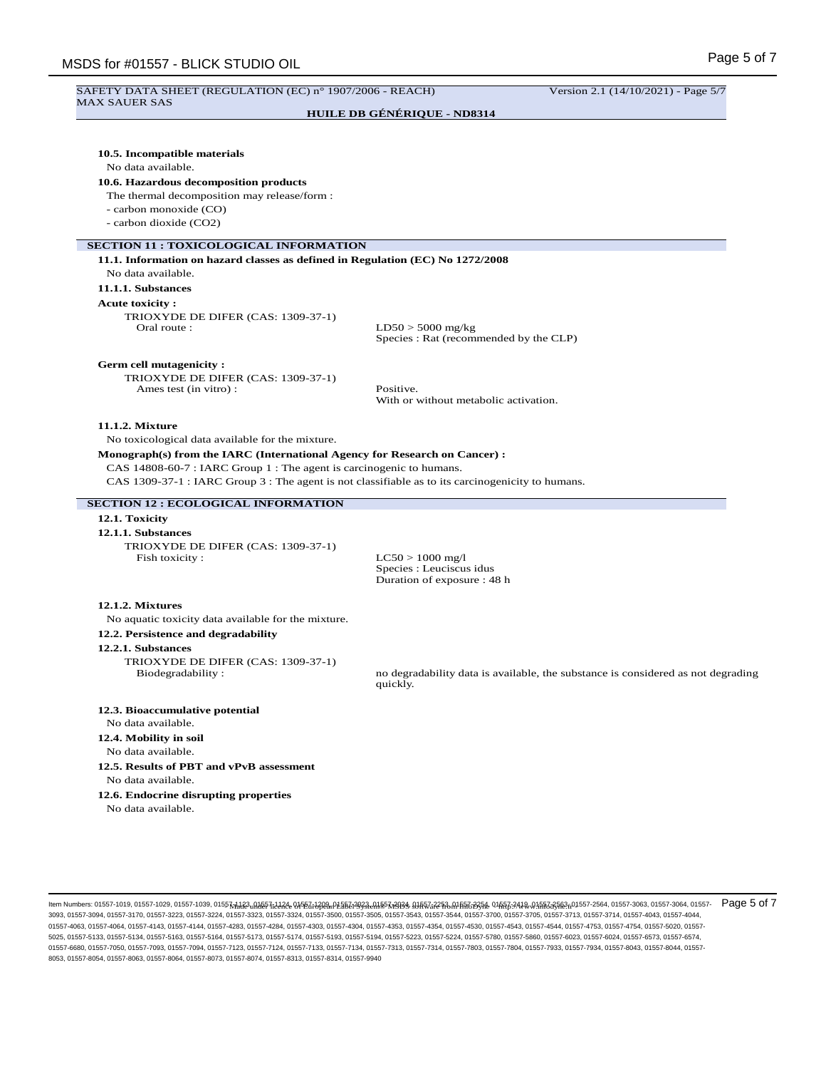# Page 5 of 7 MSDS for #01557 - BLICK STUDIO OIL SAFETY DATA SHEET (REGULATION (EC) n° 1907/2006 - REACH) Version 2.1 (14/10/2021) - Page 5/7 MAX SAUER SAS **HUILE DB GÉNÉRIQUE - ND8314 10.5. Incompatible materials** No data available. **10.6. Hazardous decomposition products** The thermal decomposition may release/form : - carbon monoxide (CO) - carbon dioxide (CO2) **SECTION 11 : TOXICOLOGICAL INFORMATION 11.1. Information on hazard classes as defined in Regulation (EC) No 1272/2008** No data available. **11.1.1. Substances Acute toxicity :** TRIOXYDE DE DIFER (CAS: 1309-37-1)<br>Oral route :  $LD50 > 5000$  mg/kg Species : Rat (recommended by the CLP) **Germ cell mutagenicity :** TRIOXYDE DE DIFER (CAS: 1309-37-1) Ames test (in vitro) : Positive. With or without metabolic activation. **11.1.2. Mixture** No toxicological data available for the mixture. **Monograph(s) from the IARC (International Agency for Research on Cancer) :** CAS 14808-60-7 : IARC Group 1 : The agent is carcinogenic to humans. CAS 1309-37-1 : IARC Group 3 : The agent is not classifiable as to its carcinogenicity to humans. **SECTION 12 : ECOLOGICAL INFORMATION 12.1. Toxicity 12.1.1. Substances** TRIOXYDE DE DIFER (CAS: 1309-37-1) Fish toxicity :  $LC50 > 1000$  mg/l Species : Leuciscus idus Duration of exposure : 48 h **12.1.2. Mixtures** No aquatic toxicity data available for the mixture. **12.2. Persistence and degradability 12.2.1. Substances** TRIOXYDE DE DIFER (CAS: 1309-37-1)<br>Biodegradability : no degradability data is available, the substance is considered as not degrading quickly. **12.3. Bioaccumulative potential** No data available. **12.4. Mobility in soil** No data available. **12.5. Results of PBT and vPvB assessment** No data available. **12.6. Endocrine disrupting properties** No data available.

- Made under licence of European Label System® MSDS software from InfoDyne - http://www.infodyne.fr - Item Numbers: 01557-1019, 01557-1029, 01557-1039, 01557-1123, 01557-1124, 01557-1209, 01557-2023, 01557-2024, 01557-2253, 01557-2254, 01557-2419, 01557-2563, 01557-2564, 01557-3063, 01557-3064, 01557- Page 5 of 73093, 01557-3094, 01557-3170, 01557-3223, 01557-3224, 01557-3323, 01557-3324, 01557-3500, 01557-3505, 01557-3543, 01557-3544, 01557-3700, 01557-3705, 01557-3713, 01557-3714, 01557-4043, 01557-4044, 01557-4063, 01557-4064, 01557-4143, 01557-4144, 01557-4284, 01557-4303, 01557-4304, 01557-4353, 01557-4554, 01567-4543, 01557-4544, 01557-4753, 01557-4754, 01557-5020, 01557-4354, 01557-4753, 01557-4753, 01557-4754, 01557-5 5025, 01557-5133, 01557-5134, 01557-5163, 01557-5164, 01557-5173, 01557-5174, 01557-5193, 01557-5194, 01557-5223, 01557-5224, 01557-5780, 01557-5860, 01557-6023, 01557-6024, 01557-6573, 01557-6574, 01557-6680, 01557-7050, 01557-7093, 01557-7094, 01557-7123, 01557-7124, 01557-7133, 01557-7134, 01557-7313, 01557-7314, 01557-7803, 01557-7804, 01557-7804, 01557-7934, 01557-8044, 01557-804, 01557-804, 01557-804, 01557-804, 8053, 01557-8054, 01557-8063, 01557-8064, 01557-8073, 01557-8074, 01557-8313, 01557-8314, 01557-9940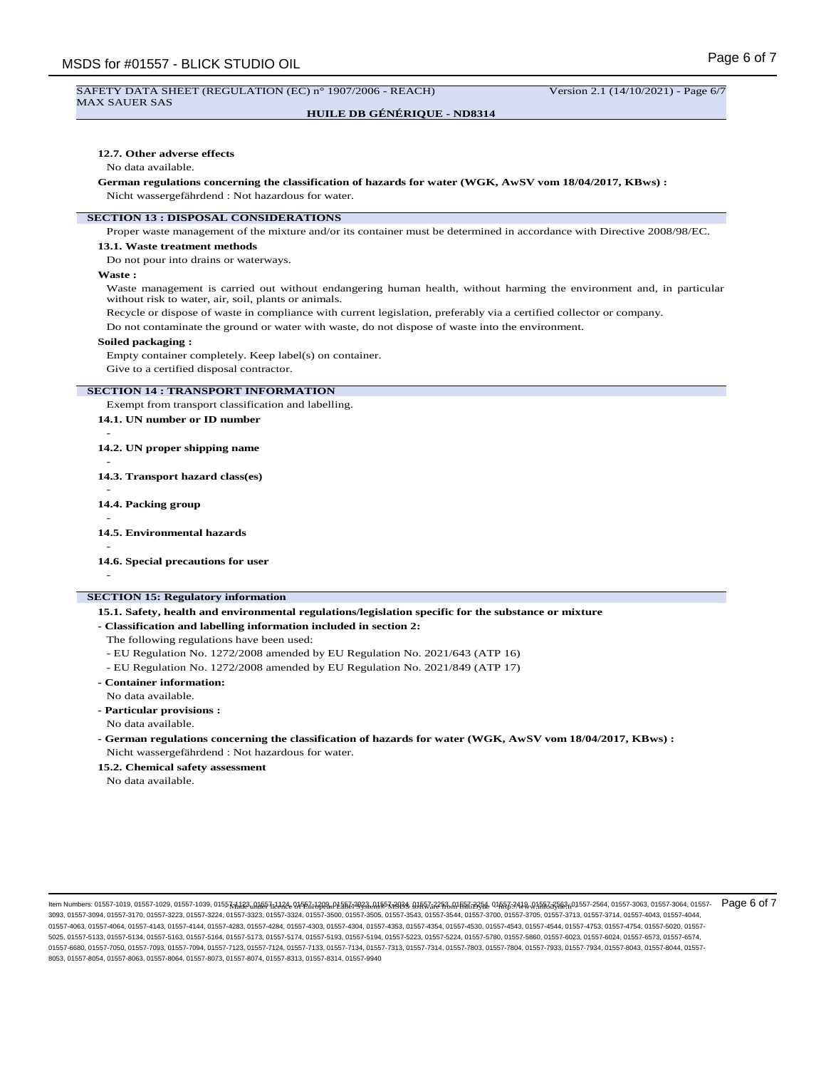**HUILE DB GÉNÉRIQUE - ND8314**

### **12.7. Other adverse effects**

#### No data available.

#### **German regulations concerning the classification of hazards for water (WGK, AwSV vom 18/04/2017, KBws) :** Nicht wassergefährdend : Not hazardous for water.

# **SECTION 13 : DISPOSAL CONSIDERATIONS**

Proper waste management of the mixture and/or its container must be determined in accordance with Directive 2008/98/EC.

#### **13.1. Waste treatment methods**

Do not pour into drains or waterways.

### **Waste :**

Waste management is carried out without endangering human health, without harming the environment and, in particular without risk to water, air, soil, plants or animals.

Recycle or dispose of waste in compliance with current legislation, preferably via a certified collector or company. Do not contaminate the ground or water with waste, do not dispose of waste into the environment.

#### **Soiled packaging :**

Empty container completely. Keep label(s) on container.

Give to a certified disposal contractor.

## **SECTION 14 : TRANSPORT INFORMATION**

Exempt from transport classification and labelling.

- **14.1. UN number or ID number**
- **14.2. UN proper shipping name**
- -
- **14.3. Transport hazard class(es)**
- **14.4. Packing group**
- **14.5. Environmental hazards**
- -

-

-

-

**14.6. Special precautions for user**

# **SECTION 15: Regulatory information**

**15.1. Safety, health and environmental regulations/legislation specific for the substance or mixture**

#### **- Classification and labelling information included in section 2:**

- The following regulations have been used:
- EU Regulation No. 1272/2008 amended by EU Regulation No. 2021/643 (ATP 16)
- EU Regulation No. 1272/2008 amended by EU Regulation No. 2021/849 (ATP 17)
- **Container information:**
- No data available.
- **Particular provisions :**
- No data available.
- **German regulations concerning the classification of hazards for water (WGK, AwSV vom 18/04/2017, KBws) :** Nicht wassergefährdend : Not hazardous for water.

**15.2. Chemical safety assessment**

No data available.

- Made under licence of European Label System® MSDS software from InfoDyne - http://www.infodyne.fr - Item Numbers: 01557-1019, 01557-1029, 01557-1039, 01557-1123, 01557-1124, 01557-1209, 01557-2023, 01557-2024, 01557-2253, 01557-2254, 01557-2419, 01557-2563, 01557-2564, 01557-3063, 01557-3064, 01557- Page 6 of 73093, 01557-3094, 01557-3170, 01557-3223, 01557-3224, 01557-3323, 01557-3324, 01557-3500, 01557-3505, 01557-3543, 01557-3544, 01557-3700, 01557-3705, 01557-3713, 01557-3714, 01557-4043, 01557-4044, 01557-4063, 01557-4064, 01557-4143, 01557-4144, 01557-4284, 01557-4303, 01557-4304, 01557-4353, 01557-4554, 01567-4543, 01557-4544, 01557-4753, 01557-4754, 01557-5020, 01557-4354, 01557-4753, 01557-4753, 01557-4754, 01557-5 5025, 01557-5133, 01557-5134, 01557-5163, 01557-5164, 01557-5173, 01557-5174, 01557-5193, 01557-5194, 01557-5223, 01557-5224, 01557-5780, 01557-5860, 01557-6023, 01557-6024, 01557-6573, 01557-6574, 01557-6680, 01557-7050, 01557-7093, 01557-7094, 01557-7123, 01557-7124, 01557-7133, 01557-7134, 01557-7313, 01557-7314, 01557-7803, 01557-7804, 01557-7933, 01557-7933, 01557-7933, 01557-7933, 01557-7933, 01557-7933, 01557-7 8053, 01557-8054, 01557-8063, 01557-8064, 01557-8073, 01557-8074, 01557-8313, 01557-8314, 01557-9940